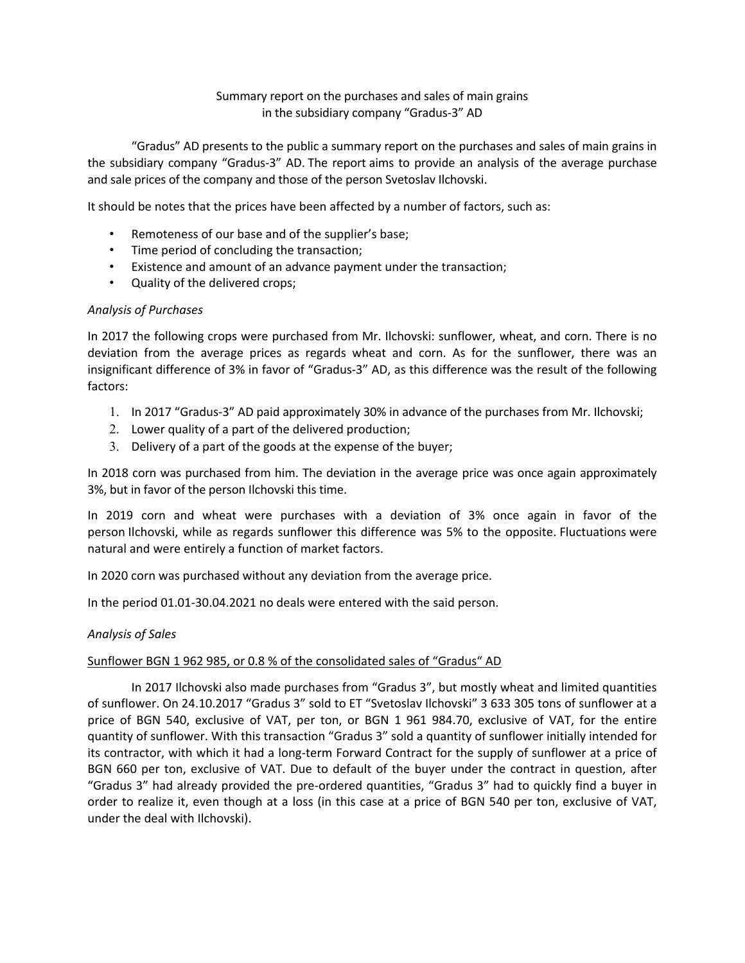## Summary report on the purchases and sales of main grains in the subsidiary company "Gradus-3" AD

"Gradus" AD presents to the public a summary report on the purchases and sales of main grains in the subsidiary company "Gradus-3" AD. The report aims to provide an analysis of the average purchase and sale prices of the company and those of the person Svetoslav Ilchovski.

It should be notes that the prices have been affected by a number of factors, such as:

- Remoteness of our base and of the supplier's base;
- Time period of concluding the transaction;
- Existence and amount of an advance payment under the transaction;
- Quality of the delivered crops;

## *Analysis of Purchases*

In 2017 the following crops were purchased from Mr. Ilchovski: sunflower, wheat, and corn. There is no deviation from the average prices as regards wheat and corn. As for the sunflower, there was an insignificant difference of 3% in favor of "Gradus-3" AD, as this difference was the result of the following factors:

- 1. In 2017 "Gradus-3" AD paid approximately 30% in advance of the purchases from Mr. Ilchovski;
- 2. Lower quality of a part of the delivered production;
- 3. Delivery of a part of the goods at the expense of the buyer;

In 2018 corn was purchased from him. The deviation in the average price was once again approximately 3%, but in favor of the person Ilchovski this time.

In 2019 corn and wheat were purchases with a deviation of 3% once again in favor of the person Ilchovski, while as regards sunflower this difference was 5% to the opposite. Fluctuations were natural and were entirely a function of market factors.

In 2020 corn was purchased without any deviation from the average price.

In the period 01.01-30.04.2021 no deals were entered with the said person.

## *Analysis of Sales*

## Sunflower BGN 1 962 985, or 0.8 % of the consolidated sales of "Gradus" AD

In 2017 Ilchovski also made purchases from "Gradus 3", but mostly wheat and limited quantities of sunflower. On 24.10.2017 "Gradus 3" sold to ET "Svetoslav Ilchovski" 3 633 305 tons of sunflower at a price of BGN 540, exclusive of VAT, per ton, or BGN 1 961 984.70, exclusive of VAT, for the entire quantity of sunflower. With this transaction "Gradus 3" sold a quantity of sunflower initially intended for its contractor, with which it had a long-term Forward Contract for the supply of sunflower at a price of BGN 660 per ton, exclusive of VAT. Due to default of the buyer under the contract in question, after "Gradus 3" had already provided the pre-ordered quantities, "Gradus 3" had to quickly find a buyer in order to realize it, even though at a loss (in this case at a price of BGN 540 per ton, exclusive of VAT, under the deal with Ilchovski).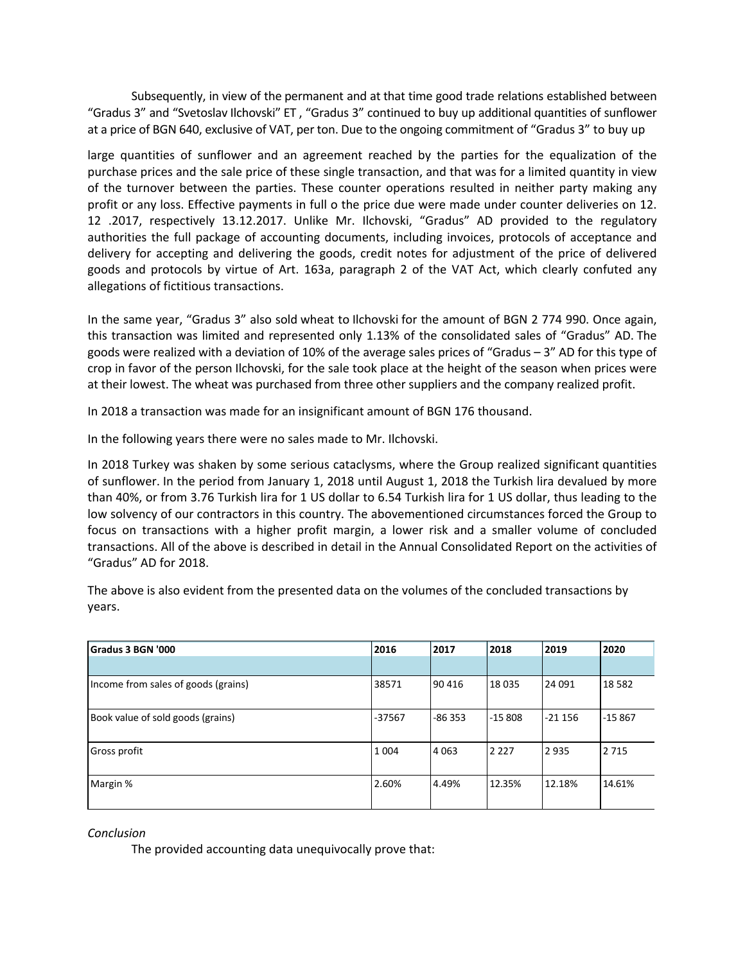Subsequently, in view of the permanent and at that time good trade relations established between "Gradus 3" and "Svetoslav Ilchovski" ET , "Gradus 3" continued to buy up additional quantities of sunflower at a price of BGN 640, exclusive of VAT, per ton. Due to the ongoing commitment of "Gradus 3" to buy up

large quantities of sunflower and an agreement reached by the parties for the equalization of the purchase prices and the sale price of these single transaction, and that was for a limited quantity in view of the turnover between the parties. These counter operations resulted in neither party making any profit or any loss. Effective payments in full o the price due were made under counter deliveries on 12. 12 .2017, respectively 13.12.2017. Unlike Mr. Ilchovski, "Gradus" AD provided to the regulatory authorities the full package of accounting documents, including invoices, protocols of acceptance and delivery for accepting and delivering the goods, credit notes for adjustment of the price of delivered goods and protocols by virtue of Art. 163a, paragraph 2 of the VAT Act, which clearly confuted any allegations of fictitious transactions.

In the same year, "Gradus 3" also sold wheat to Ilchovski for the amount of BGN 2 774 990. Once again, this transaction was limited and represented only 1.13% of the consolidated sales of "Gradus" AD. The goods were realized with a deviation of 10% of the average sales prices of "Gradus – 3" AD for this type of crop in favor of the person Ilchovski, for the sale took place at the height of the season when prices were at their lowest. The wheat was purchased from three other suppliers and the company realized profit.

In 2018 a transaction was made for an insignificant amount of BGN 176 thousand.

In the following years there were no sales made to Mr. Ilchovski.

In 2018 Turkey was shaken by some serious cataclysms, where the Group realized significant quantities of sunflower. In the period from January 1, 2018 until August 1, 2018 the Turkish lira devalued by more than 40%, or from 3.76 Turkish lira for 1 US dollar to 6.54 Turkish lira for 1 US dollar, thus leading to the low solvency of our contractors in this country. The abovementioned circumstances forced the Group to focus on transactions with a higher profit margin, a lower risk and a smaller volume of concluded transactions. All of the above is described in detail in the Annual Consolidated Report on the activities of "Gradus" AD for 2018.

The above is also evident from the presented data on the volumes of the concluded transactions by years.

| Gradus 3 BGN '000                   | 2016    | 2017     | 2018     | 2019     | 2020    |
|-------------------------------------|---------|----------|----------|----------|---------|
|                                     |         |          |          |          |         |
| Income from sales of goods (grains) | 38571   | 90 416   | 18 0 35  | 24 091   | 18 5 82 |
| Book value of sold goods (grains)   | -37567  | $-86353$ | $-15808$ | $-21156$ | -15 867 |
| Gross profit                        | 1 0 0 4 | l4 063   | 2 2 2 7  | 2935     | 2 7 1 5 |
| Margin %                            | 2.60%   | 4.49%    | 12.35%   | 12.18%   | 14.61%  |

*Conclusion*

The provided accounting data unequivocally prove that: